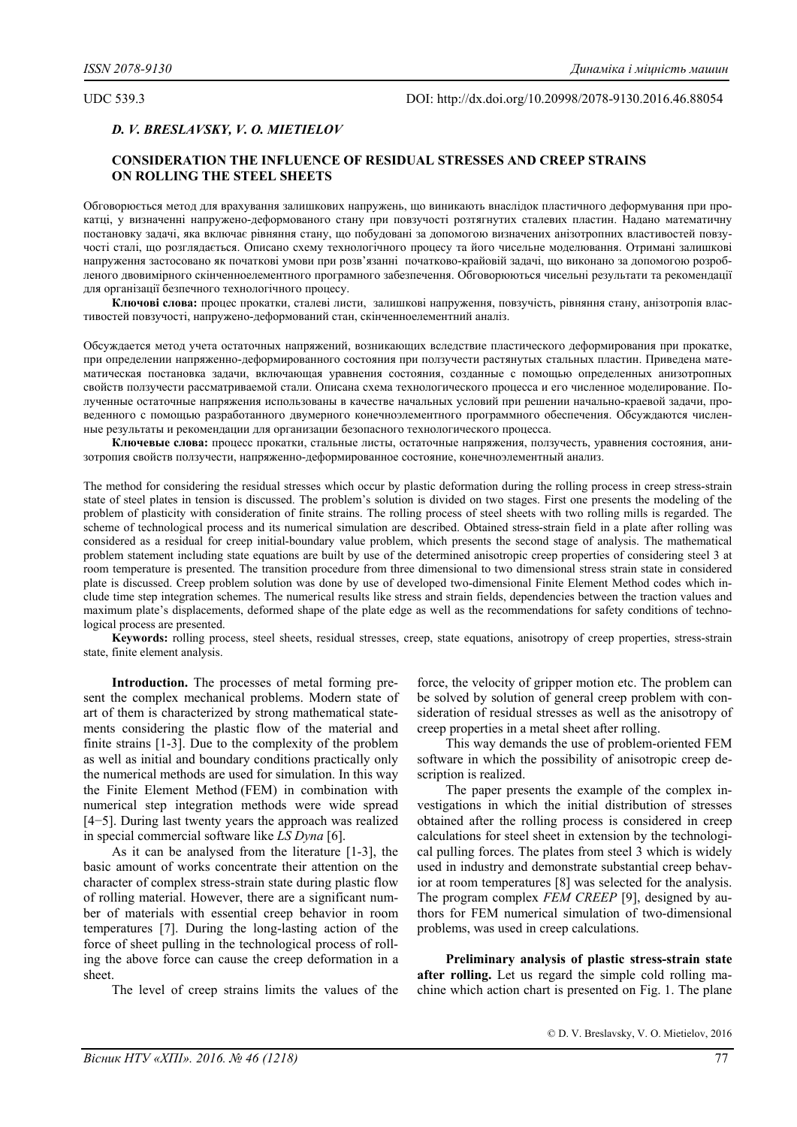UDC 539.3 DOI: http://dx.doi.org/10.20998/2078-9130.2016.46.88054

# *D. V. BRESLAVSKY, V. О. MIETIELOV*

# **CONSIDERATION THE INFLUENCE OF RESIDUAL STRESSES AND CREEP STRAINS ON ROLLING THE STEEL SHEETS**

Обговорюється метод для врахування залишкових напружень, що виникають внаслідок пластичного деформування при прокатці, у визначенні напружено-деформованого стану при повзучості розтягнутих сталевих пластин. Надано математичну постановку задачі, яка включає рівняння стану, що побудовані за допомогою визначених анізотропних властивостей повзучості сталі, що розглядається. Описано схему технологічного процесу та його чисельне моделювання. Отримані залишкові напруження застосовано як початкові умови при розв'язанні початково-крайовій задачі, що виконано за допомогою розробленого двовимірного скінченноелементного програмного забезпечення. Обговорюються чисельні результати та рекомендації для організації безпечного технологічного процесу.

**Ключові слова:** процес прокатки, сталеві листи, залишкові напруження, повзучість, рівняння стану, анізотропія властивостей повзучості, напружено-деформований стан, скінченноелементний аналіз.

Обсуждается метод учета остаточных напряжений, возникающих вследствие пластического деформирования при прокатке, при определении напряженно-деформированного состояния при ползучести растянутых стальных пластин. Приведена математическая постановка задачи, включающая уравнения состояния, созданные с помощью определенных анизотропных свойств ползучести рассматриваемой стали. Описана схема технологического процесса и его численное моделирование. Полученные остаточные напряжения использованы в качестве начальных условий при решении начально-краевой задачи, проведенного с помощью разработанного двумерного конечноэлементного программного обеспечения. Обсуждаются численные результаты и рекомендации для организации безопасного технологического процесса.

**Ключевые слова:** процесс прокатки, стальные листы, остаточные напряжения, ползучесть, уравнения состояния, анизотропия свойств ползучести, напряженно-деформированное состояние, конечноэлементный анализ.

The method for considering the residual stresses which occur by plastic deformation during the rolling process in creep stress-strain state of steel plates in tension is discussed. The problem's solution is divided on two stages. First one presents the modeling of the problem of plasticity with consideration of finite strains. The rolling process of steel sheets with two rolling mills is regarded. The scheme of technological process and its numerical simulation are described. Obtained stress-strain field in a plate after rolling was considered as a residual for creep initial-boundary value problem, which presents the second stage of analysis. The mathematical problem statement including state equations are built by use of the determined anisotropic creep properties of considering steel 3 at room temperature is presented. The transition procedure from three dimensional to two dimensional stress strain state in considered plate is discussed. Creep problem solution was done by use of developed two-dimensional Finite Element Method codes which include time step integration schemes. The numerical results like stress and strain fields, dependencies between the traction values and maximum plate's displacements, deformed shape of the plate edge as well as the recommendations for safety conditions of technological process are presented.

**Keywords:** rolling process, steel sheets, residual stresses, creep, state equations, anisotropy of creep properties, stress-strain state, finite element analysis.

**Introduction.** The processes of metal forming present the complex mechanical problems. Modern state of art of them is characterized by strong mathematical statements considering the plastic flow of the material and finite strains [1-3]. Due to the complexity of the problem as well as initial and boundary conditions practically only the numerical methods are used for simulation. In this way the Finite Element Method (FEM) in combination with numerical step integration methods were wide spread [4-5]. During last twenty years the approach was realized in special commercial software like *LS Dyna* [6].

As it can be analysed from the literature [1-3], the basic amount of works concentrate their attention on the character of complex stress-strain state during plastic flow of rolling material. However, there are a significant number of materials with essential creep behavior in room temperatures [7]. During the long-lasting action of the force of sheet pulling in the technological process of rolling the above force can cause the creep deformation in a sheet.

The level of creep strains limits the values of the

force, the velocity of gripper motion etc. The problem can be solved by solution of general creep problem with consideration of residual stresses as well as the anisotropy of creep properties in a metal sheet after rolling.

This way demands the use of problem-oriented FEM software in which the possibility of anisotropic creep description is realized.

The paper presents the example of the complex investigations in which the initial distribution of stresses obtained after the rolling process is considered in creep calculations for steel sheet in extension by the technological pulling forces. The plates from steel 3 which is widely used in industry and demonstrate substantial creep behavior at room temperatures [8] was selected for the analysis. The program complex *FEM CREEP* [9], designed by authors for FEM numerical simulation of two-dimensional problems, was used in creep calculations.

**Preliminary analysis of plastic stress-strain state after rolling.** Let us regard the simple cold rolling machine which action chart is presented on Fig. 1. The plane

© D. V. Breslavsky, V. О. Mietielov, 2016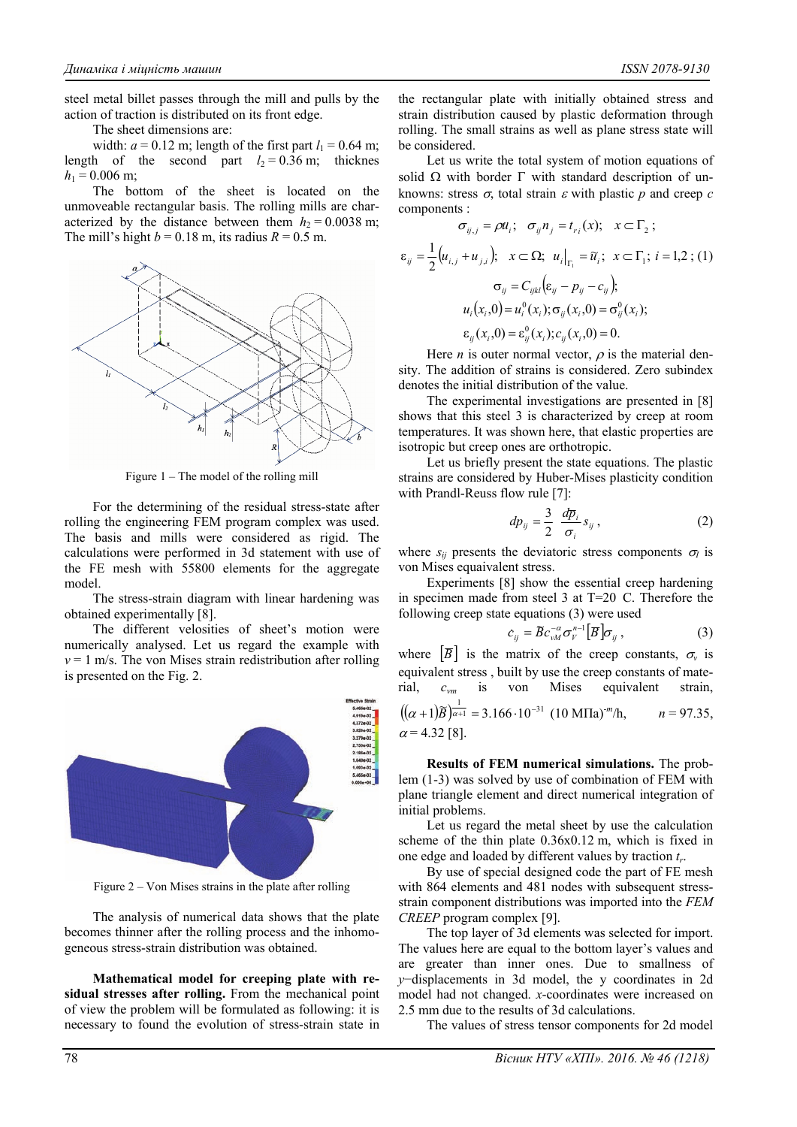steel metal billet passes through the mill and pulls by the action of traction is distributed on its front edge.

The sheet dimensions are:

width:  $a = 0.12$  m; length of the first part  $l_1 = 0.64$  m; length of the second part  $l_2 = 0.36$  m; thicknes  $h_1 = 0.006$  m;

The bottom of the sheet is located on the unmoveable rectangular basis. The rolling mills are characterized by the distance between them  $h_2 = 0.0038$  m; The mill's hight  $b = 0.18$  m, its radius  $R = 0.5$  m.



Figure 1 – The model of the rolling mill

For the determining of the residual stress-state after rolling the engineering FEM program complex was used. The basis and mills were considered as rigid. The calculations were performed in 3d statement with use of the FE mesh with 55800 elements for the aggregate model.

The stress-strain diagram with linear hardening was obtained experimentally [8].

The different velosities of sheet's motion were numerically analysed. Let us regard the example with  $v = 1$  m/s. The von Mises strain redistribution after rolling is presented on the Fig. 2.



Figure 2 – Von Mises strains in the plate after rolling

The analysis of numerical data shows that the plate becomes thinner after the rolling process and the inhomogeneous stress-strain distribution was obtained.

**Mathematical model for creeping plate with residual stresses after rolling.** From the mechanical point of view the problem will be formulated as following: it is necessary to found the evolution of stress-strain state in the rectangular plate with initially obtained stress and strain distribution caused by plastic deformation through rolling. The small strains as well as plane stress state will be considered.

Let us write the total system of motion equations of solid  $\Omega$  with border  $\Gamma$  with standard description of unknowns: stress  $\sigma$ , total strain  $\varepsilon$  with plastic  $p$  and creep  $c$ components :

$$
\sigma_{ij,j} = \rho u_i; \quad \sigma_{ij} n_j = t_{ri}(x); \quad x \subset \Gamma_2 ;
$$
\n
$$
\varepsilon_{ij} = \frac{1}{2} \big( u_{i,j} + u_{j,i} \big); \quad x \subset \Omega; \quad u_i \big|_{\Gamma_1} = \tilde{u}_i; \quad x \subset \Gamma_1; \quad i = 1,2 ; (1)
$$
\n
$$
\sigma_{ij} = C_{ijkl} \big( \varepsilon_{ij} - p_{ij} - c_{ij} \big);
$$
\n
$$
u_i(x_i, 0) = u_i^0(x_i); \quad \sigma_{ij}(x_i, 0) = \sigma_{ij}^0(x_i);
$$
\n
$$
\varepsilon_{ij}(x_i, 0) = \varepsilon_{ij}^0(x_i); c_{ij}(x_i, 0) = 0.
$$

Here *n* is outer normal vector,  $\rho$  is the material density. The addition of strains is considered. Zero subindex denotes the initial distribution of the value.

The experimental investigations are presented in [8] shows that this steel 3 is characterized by creep at room temperatures. It was shown here, that elastic properties are isotropic but creep ones are orthotropic.

Let us briefly present the state equations. The plastic strains are considered by Huber-Mises plasticity condition with Prandl-Reuss flow rule [7]:

$$
dp_{ij} = \frac{3}{2} \frac{d\overline{p}_i}{\sigma_i} s_{ij}, \qquad (2)
$$

where  $s_{ij}$  presents the deviatoric stress components  $\sigma_{I}$  is von Mises equaivalent stress.

Experiments [8] show the essential creep hardening in specimen made from steel 3 at T=20 С. Therefore the following creep state equations (3) were used

$$
c_{ij} = \widetilde{B} c_{vM}^{-\alpha} \sigma_{V}^{n-1} \left[ \overline{B} \right] \sigma_{ij} , \qquad (3)
$$

where  $\overline{B}$  is the matrix of the creep constants,  $\sigma_{v}$  is equivalent stress , built by use the creep constants of material, *cvm* is von Mises equivalent strain,  $((\alpha + 1)\tilde{\beta})^{\frac{1}{\alpha+1}} = 3.166 \cdot 10^{-31}$  (10 MIIa) 1  $n = 97.35$ ,

$$
((\alpha + 1)B)^{\alpha+1} = 3.166 \cdot 10^{-31} (10 \text{ MHz})^m/h, \qquad n = 97.35, \alpha = 4.32 [8].
$$

**Results of FEM numerical simulations.** The problem (1-3) was solved by use of combination of FEM with plane triangle element and direct numerical integration of initial problems.

Let us regard the metal sheet by use the calculation scheme of the thin plate 0.36х0.12 m, which is fixed in one edge and loaded by different values by traction *tr*.

By use of special designed code the part of FE mesh with 864 elements and 481 nodes with subsequent stressstrain component distributions was imported into the *FEM CREEP* program complex [9].

The top layer of 3d elements was selected for import. The values here are equal to the bottom layer's values and are greater than inner ones. Due to smallness of *y*−displacements in 3d model, the y coordinates in 2d model had not changed. *x*-coordinates were increased on 2.5 mm due to the results of 3d calculations.

The values of stress tensor components for 2d model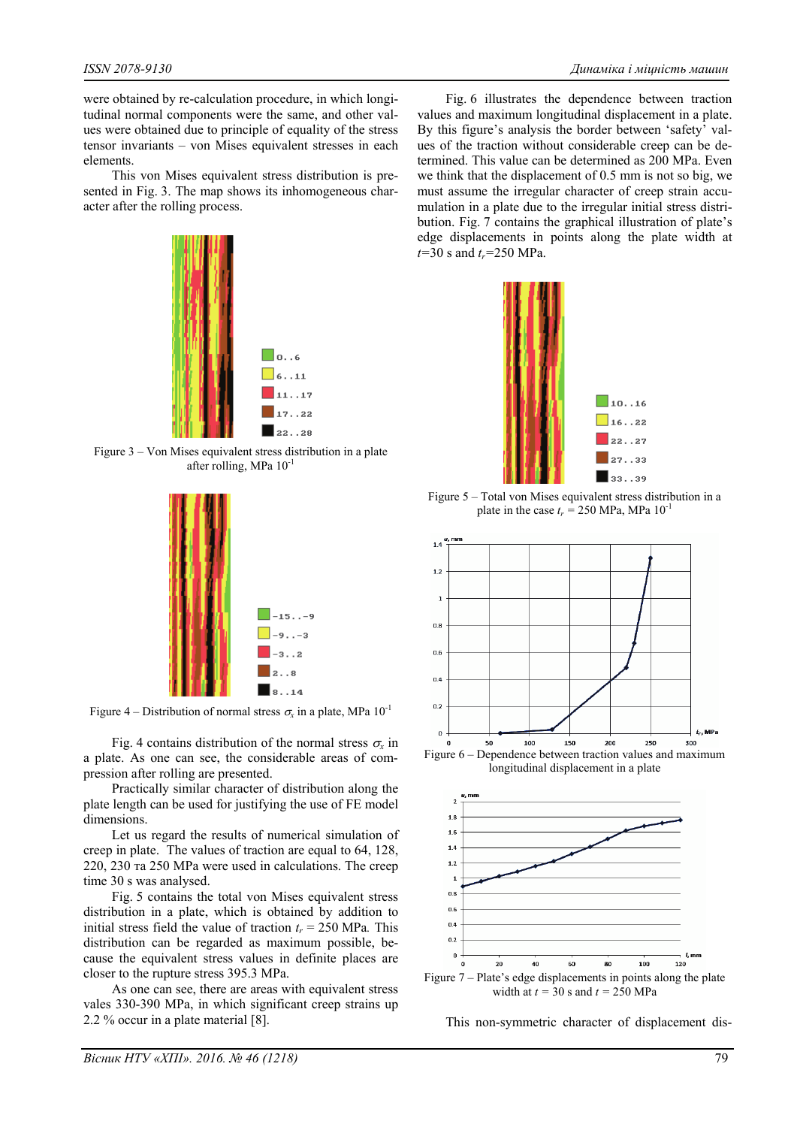were obtained by re-calculation procedure, in which longitudinal normal components were the same, and other values were obtained due to principle of equality of the stress tensor invariants – von Mises equivalent stresses in each elements.

This von Mises equivalent stress distribution is presented in Fig. 3. The map shows its inhomogeneous character after the rolling process.



Figure 3 – Von Mises equivalent stress distribution in a plate after rolling, MPa 10-1



Figure 4 – Distribution of normal stress  $\sigma_x$  in a plate, MPa  $10^{-1}$ 

Fig. 4 contains distribution of the normal stress  $\sigma_{\rm r}$  in a plate. As one can see, the considerable areas of compression after rolling are presented.

Practically similar character of distribution along the plate length can be used for justifying the use of FE model dimensions.

Let us regard the results of numerical simulation of creep in plate. The values of traction are equal to 64, 128, 220, 230 та 250 MPa were used in calculations. The creep time 30 s was analysed.

Fig. 5 contains the total von Mises equivalent stress distribution in a plate, which is obtained by addition to initial stress field the value of traction  $t_r = 250 \text{ MPa}$ . This distribution can be regarded as maximum possible, because the equivalent stress values in definite places are closer to the rupture stress 395.3 MPa.

As one can see, there are areas with equivalent stress vales 330-390 MPa, in which significant creep strains up 2.2 % occur in a plate material [8].

Fig. 6 illustrates the dependence between traction values and maximum longitudinal displacement in a plate. By this figure's analysis the border between 'safety' values of the traction without considerable creep can be determined. This value can be determined as 200 MPa. Even we think that the displacement of 0.5 mm is not so big, we must assume the irregular character of creep strain accumulation in a plate due to the irregular initial stress distribution. Fig. 7 contains the graphical illustration of plate's edge displacements in points along the plate width at *t*=30 s and *t<sub>r</sub>*=250 MPa.



Figure 5 – Total von Mises equivalent stress distribution in a plate in the case  $t_r = 250 \text{ MPa}$ , MPa  $10^{-1}$ 



longitudinal displacement in a plate



This non-symmetric character of displacement dis-